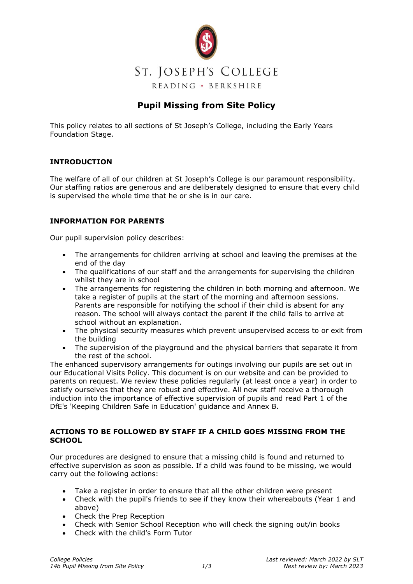

# **Pupil Missing from Site Policy**

This policy relates to all sections of St Joseph's College, including the Early Years Foundation Stage.

### **INTRODUCTION**

The welfare of all of our children at St Joseph's College is our paramount responsibility. Our staffing ratios are generous and are deliberately designed to ensure that every child is supervised the whole time that he or she is in our care.

## **INFORMATION FOR PARENTS**

Our pupil supervision policy describes:

- The arrangements for children arriving at school and leaving the premises at the end of the day
- The qualifications of our staff and the arrangements for supervising the children whilst they are in school
- The arrangements for registering the children in both morning and afternoon. We take a register of pupils at the start of the morning and afternoon sessions. Parents are responsible for notifying the school if their child is absent for any reason. The school will always contact the parent if the child fails to arrive at school without an explanation.
- The physical security measures which prevent unsupervised access to or exit from the building
- The supervision of the playground and the physical barriers that separate it from the rest of the school.

The enhanced supervisory arrangements for outings involving our pupils are set out in our Educational Visits Policy. This document is on our website and can be provided to parents on request. We review these policies regularly (at least once a year) in order to satisfy ourselves that they are robust and effective. All new staff receive a thorough induction into the importance of effective supervision of pupils and read Part 1 of the DfE's 'Keeping Children Safe in Education' guidance and Annex B.

#### **ACTIONS TO BE FOLLOWED BY STAFF IF A CHILD GOES MISSING FROM THE SCHOOL**

Our procedures are designed to ensure that a missing child is found and returned to effective supervision as soon as possible. If a child was found to be missing, we would carry out the following actions:

- Take a register in order to ensure that all the other children were present
- Check with the pupil's friends to see if they know their whereabouts (Year 1 and above)
- Check the Prep Reception
- Check with Senior School Reception who will check the signing out/in books
- Check with the child's Form Tutor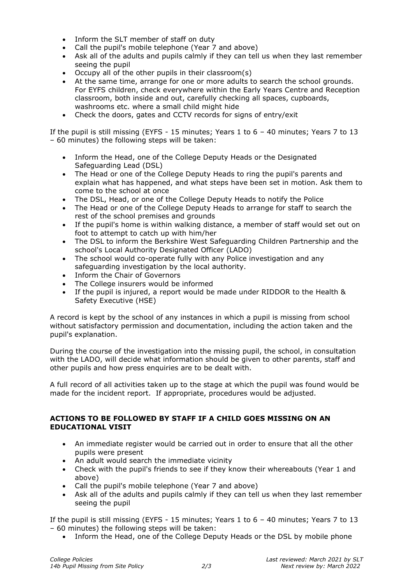- Inform the SLT member of staff on duty
- Call the pupil's mobile telephone (Year 7 and above)
- Ask all of the adults and pupils calmly if they can tell us when they last remember seeing the pupil
- Occupy all of the other pupils in their classroom(s)<br>• At the same time, arrange for one or more adults to
- At the same time, arrange for one or more adults to search the school grounds. For EYFS children, check everywhere within the Early Years Centre and Reception classroom, both inside and out, carefully checking all spaces, cupboards, washrooms etc. where a small child might hide
- Check the doors, gates and CCTV records for signs of entry/exit

If the pupil is still missing (EYFS - 15 minutes; Years 1 to 6 – 40 minutes; Years 7 to 13 – 60 minutes) the following steps will be taken:

- Inform the Head, one of the College Deputy Heads or the Designated Safeguarding Lead (DSL)
- The Head or one of the College Deputy Heads to ring the pupil's parents and explain what has happened, and what steps have been set in motion. Ask them to come to the school at once
- The DSL, Head, or one of the College Deputy Heads to notify the Police
- The Head or one of the College Deputy Heads to arrange for staff to search the rest of the school premises and grounds
- If the pupil's home is within walking distance, a member of staff would set out on foot to attempt to catch up with him/her
- The DSL to inform the Berkshire West Safeguarding Children Partnership and the school's Local Authority Designated Officer (LADO)
- The school would co-operate fully with any Police investigation and any safeguarding investigation by the local authority.
- Inform the Chair of Governors
- The College insurers would be informed
- If the pupil is injured, a report would be made under RIDDOR to the Health & Safety Executive (HSE)

A record is kept by the school of any instances in which a pupil is missing from school without satisfactory permission and documentation, including the action taken and the pupil's explanation.

During the course of the investigation into the missing pupil, the school, in consultation with the LADO, will decide what information should be given to other parents, staff and other pupils and how press enquiries are to be dealt with.

A full record of all activities taken up to the stage at which the pupil was found would be made for the incident report. If appropriate, procedures would be adjusted.

#### **ACTIONS TO BE FOLLOWED BY STAFF IF A CHILD GOES MISSING ON AN EDUCATIONAL VISIT**

- An immediate register would be carried out in order to ensure that all the other pupils were present
- An adult would search the immediate vicinity
- Check with the pupil's friends to see if they know their whereabouts (Year 1 and above)
- Call the pupil's mobile telephone (Year 7 and above)
- Ask all of the adults and pupils calmly if they can tell us when they last remember seeing the pupil

If the pupil is still missing (EYFS - 15 minutes; Years 1 to 6 – 40 minutes; Years 7 to 13 – 60 minutes) the following steps will be taken:

• Inform the Head, one of the College Deputy Heads or the DSL by mobile phone